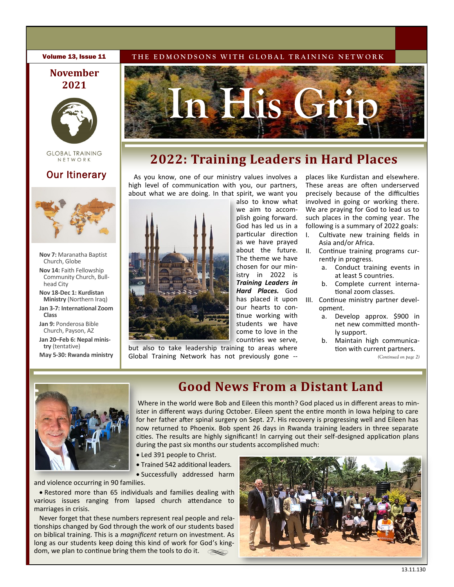## **November 2021**



**GLOBAL TRAINING** NETWORK

# Our Itinerary



- **Nov 7:** Maranatha Baptist Church, Globe
- **Nov 14:** Faith Fellowship Community Church, Bullhead City
- **Nov 18-Dec 1: Kurdistan Ministry** (Northern Iraq) **Jan 3-7: International Zoom**
- **Class**
- **Jan 9:** Ponderosa Bible Church, Payson, AZ **Jan 20–Feb 6: Nepal ministry** (tentative)
- **May 5-30: Rwanda ministry**

### **Volume 13, Issue 11** THE EDMONDSONS WITH GLOBAL TRAINING NETWORK



# **2022: Training Leaders in Hard Places**

As you know, one of our ministry values involves a high level of communication with you, our partners, about what we are doing. In that spirit, we want you



also to know what we aim to accomplish going forward. God has led us in a particular direction as we have prayed about the future. The theme we have chosen for our ministry in 2022 is *Training Leaders in Hard Places.* God our hearts to continue working with students we have come to love in the countries we serve,

but also to take leadership training to areas where Global Training Network has not previously gone -- places like Kurdistan and elsewhere. These areas are often underserved precisely because of the difficulties involved in going or working there. We are praying for God to lead us to such places in the coming year. The following is a summary of 2022 goals:

- I. Cultivate new training fields in Asia and/or Africa.
- II. Continue training programs currently in progress.
	- a. Conduct training events in at least 5 countries.
	- b. Complete current international zoom classes.
- has placed it upon III. Continue ministry partner development.
	- a. Develop approx. \$900 in net new committed monthly support.
	- b. Maintain high communication with current partners. *(Continued on page 2)*



# **Good News From a Distant Land**

Where in the world were Bob and Eileen this month? God placed us in different areas to minister in different ways during October. Eileen spent the entire month in Iowa helping to care for her father after spinal surgery on Sept. 27. His recovery is progressing well and Eileen has now returned to Phoenix. Bob spent 26 days in Rwanda training leaders in three separate cities. The results are highly significant! In carrying out their self-designed application plans during the past six months our students accomplished much:

- Led 391 people to Christ.
- Trained 542 additional leaders.
	- Successfully addressed harm

and violence occurring in 90 families.

• Restored more than 65 individuals and families dealing with various issues ranging from lapsed church attendance to marriages in crisis.

Never forget that these numbers represent real people and relationships changed by God through the work of our students based on biblical training. This is a *magnificent* return on investment. As long as our students keep doing this kind of work for God's kingdom, we plan to continue bring them the tools to do it.